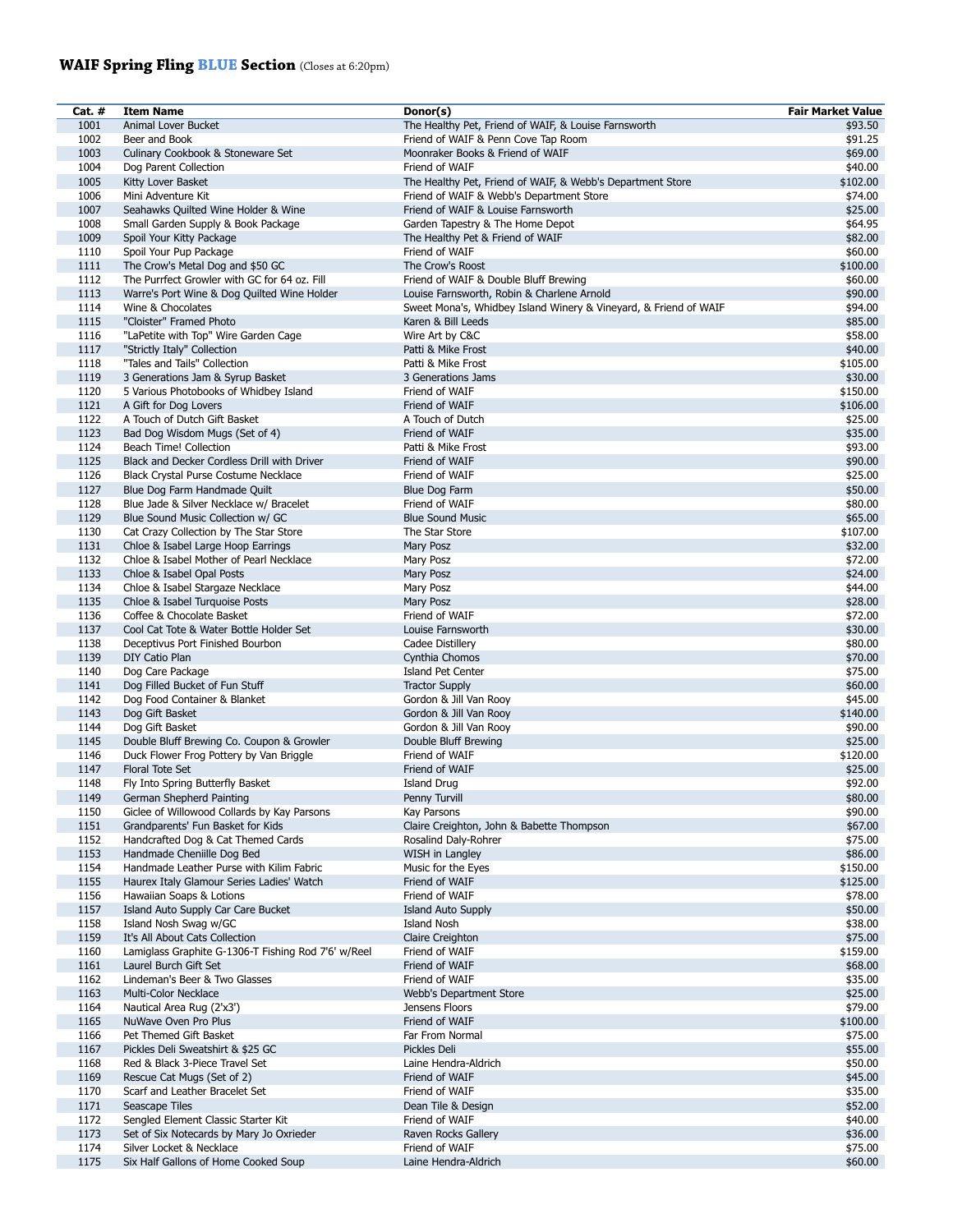## **WAIF Spring Fling BLUE Section** (Closes at 6:20pm)

| Cat. # | <b>Item Name</b>                                    | Donor(s)                                                         | <b>Fair Market Value</b> |
|--------|-----------------------------------------------------|------------------------------------------------------------------|--------------------------|
| 1001   | Animal Lover Bucket                                 | The Healthy Pet, Friend of WAIF, & Louise Farnsworth             | \$93.50                  |
| 1002   | Beer and Book                                       | Friend of WAIF & Penn Cove Tap Room                              | \$91.25                  |
|        |                                                     |                                                                  |                          |
| 1003   | Culinary Cookbook & Stoneware Set                   | Moonraker Books & Friend of WAIF                                 | \$69.00                  |
| 1004   | Dog Parent Collection                               | Friend of WAIF                                                   | \$40.00                  |
| 1005   | Kitty Lover Basket                                  | The Healthy Pet, Friend of WAIF, & Webb's Department Store       | \$102.00                 |
| 1006   | Mini Adventure Kit                                  | Friend of WAIF & Webb's Department Store                         | \$74.00                  |
| 1007   | Seahawks Quilted Wine Holder & Wine                 | Friend of WAIF & Louise Farnsworth                               | \$25.00                  |
| 1008   | Small Garden Supply & Book Package                  | Garden Tapestry & The Home Depot                                 | \$64.95                  |
|        |                                                     |                                                                  |                          |
| 1009   | Spoil Your Kitty Package                            | The Healthy Pet & Friend of WAIF                                 | \$82.00                  |
| 1110   | Spoil Your Pup Package                              | Friend of WAIF                                                   | \$60.00                  |
| 1111   | The Crow's Metal Dog and \$50 GC                    | The Crow's Roost                                                 | \$100.00                 |
| 1112   | The Purrfect Growler with GC for 64 oz. Fill        | Friend of WAIF & Double Bluff Brewing                            | \$60.00                  |
| 1113   | Warre's Port Wine & Dog Quilted Wine Holder         | Louise Farnsworth, Robin & Charlene Arnold                       | \$90.00                  |
| 1114   | Wine & Chocolates                                   |                                                                  | \$94.00                  |
|        |                                                     | Sweet Mona's, Whidbey Island Winery & Vineyard, & Friend of WAIF |                          |
| 1115   | "Cloister" Framed Photo                             | Karen & Bill Leeds                                               | \$85.00                  |
| 1116   | "LaPetite with Top" Wire Garden Cage                | Wire Art by C&C                                                  | \$58.00                  |
| 1117   | "Strictly Italy" Collection                         | Patti & Mike Frost                                               | \$40.00                  |
| 1118   | "Tales and Tails" Collection                        | Patti & Mike Frost                                               | \$105.00                 |
| 1119   | 3 Generations Jam & Syrup Basket                    | 3 Generations Jams                                               | \$30.00                  |
|        |                                                     |                                                                  |                          |
| 1120   | 5 Various Photobooks of Whidbey Island              | Friend of WAIF                                                   | \$150.00                 |
| 1121   | A Gift for Dog Lovers                               | Friend of WAIF                                                   | \$106.00                 |
| 1122   | A Touch of Dutch Gift Basket                        | A Touch of Dutch                                                 | \$25.00                  |
| 1123   | Bad Dog Wisdom Mugs (Set of 4)                      | Friend of WAIF                                                   | \$35.00                  |
| 1124   | Beach Time! Collection                              | Patti & Mike Frost                                               | \$93.00                  |
| 1125   | Black and Decker Cordless Drill with Driver         | Friend of WAIF                                                   | \$90.00                  |
|        |                                                     |                                                                  |                          |
| 1126   | Black Crystal Purse Costume Necklace                | Friend of WAIF                                                   | \$25.00                  |
| 1127   | Blue Dog Farm Handmade Quilt                        | Blue Dog Farm                                                    | \$50.00                  |
| 1128   | Blue Jade & Silver Necklace w/ Bracelet             | Friend of WAIF                                                   | \$80.00                  |
| 1129   | Blue Sound Music Collection w/ GC                   | <b>Blue Sound Music</b>                                          | \$65.00                  |
| 1130   | Cat Crazy Collection by The Star Store              | The Star Store                                                   | \$107.00                 |
| 1131   |                                                     |                                                                  |                          |
|        | Chloe & Isabel Large Hoop Earrings                  | Mary Posz                                                        | \$32.00                  |
| 1132   | Chloe & Isabel Mother of Pearl Necklace             | Mary Posz                                                        | \$72.00                  |
| 1133   | Chloe & Isabel Opal Posts                           | Mary Posz                                                        | \$24.00                  |
| 1134   | Chloe & Isabel Stargaze Necklace                    | Mary Posz                                                        | \$44.00                  |
| 1135   | Chloe & Isabel Turquoise Posts                      | Mary Posz                                                        | \$28.00                  |
| 1136   | Coffee & Chocolate Basket                           | Friend of WAIF                                                   | \$72.00                  |
|        |                                                     |                                                                  |                          |
| 1137   | Cool Cat Tote & Water Bottle Holder Set             | Louise Farnsworth                                                | \$30.00                  |
| 1138   | Deceptivus Port Finished Bourbon                    | Cadee Distillery                                                 | \$80.00                  |
| 1139   | DIY Catio Plan                                      | Cynthia Chomos                                                   | \$70.00                  |
| 1140   | Dog Care Package                                    | Island Pet Center                                                | \$75.00                  |
| 1141   | Dog Filled Bucket of Fun Stuff                      | <b>Tractor Supply</b>                                            | \$60.00                  |
| 1142   | Dog Food Container & Blanket                        | Gordon & Jill Van Rooy                                           | \$45.00                  |
|        |                                                     |                                                                  |                          |
| 1143   | Dog Gift Basket                                     | Gordon & Jill Van Rooy                                           | \$140.00                 |
| 1144   | Dog Gift Basket                                     | Gordon & Jill Van Rooy                                           | \$90.00                  |
| 1145   | Double Bluff Brewing Co. Coupon & Growler           | Double Bluff Brewing                                             | \$25.00                  |
| 1146   | Duck Flower Frog Pottery by Van Briggle             | Friend of WAIF                                                   | \$120.00                 |
| 1147   | Floral Tote Set                                     | Friend of WAIF                                                   | \$25.00                  |
| 1148   | Fly Into Spring Butterfly Basket                    | Island Drug                                                      | \$92.00                  |
|        |                                                     |                                                                  |                          |
| 1149   | German Shepherd Painting                            | Penny Turvill                                                    | \$80.00                  |
| 1150   | Giclee of Willowood Collards by Kay Parsons         | Kay Parsons                                                      | \$90.00                  |
| 1151   | Grandparents' Fun Basket for Kids                   | Claire Creighton, John & Babette Thompson                        | \$67.00                  |
| 1152   | Handcrafted Dog & Cat Themed Cards                  | Rosalind Daly-Rohrer                                             | \$75.00                  |
| 1153   | Handmade Cheniille Dog Bed                          | WISH in Langley                                                  | \$86.00                  |
| 1154   |                                                     |                                                                  | \$150.00                 |
|        | Handmade Leather Purse with Kilim Fabric            | Music for the Eyes                                               |                          |
| 1155   | Haurex Italy Glamour Series Ladies' Watch           | Friend of WAIF                                                   | \$125.00                 |
| 1156   | Hawaiian Soaps & Lotions                            | Friend of WAIF                                                   | \$78.00                  |
| 1157   | Island Auto Supply Car Care Bucket                  | Island Auto Supply                                               | \$50.00                  |
| 1158   | Island Nosh Swag w/GC                               | <b>Island Nosh</b>                                               | \$38.00                  |
| 1159   | It's All About Cats Collection                      | Claire Creighton                                                 | \$75.00                  |
| 1160   | Lamiglass Graphite G-1306-T Fishing Rod 7'6' w/Reel | Friend of WAIF                                                   | \$159.00                 |
|        |                                                     |                                                                  |                          |
| 1161   | Laurel Burch Gift Set                               | Friend of WAIF                                                   | \$68.00                  |
| 1162   | Lindeman's Beer & Two Glasses                       | Friend of WAIF                                                   | \$35.00                  |
| 1163   | Multi-Color Necklace                                | Webb's Department Store                                          | \$25.00                  |
| 1164   | Nautical Area Rug (2'x3')                           | Jensens Floors                                                   | \$79.00                  |
| 1165   | NuWave Oven Pro Plus                                | Friend of WAIF                                                   | \$100.00                 |
| 1166   | Pet Themed Gift Basket                              | Far From Normal                                                  | \$75.00                  |
|        |                                                     |                                                                  |                          |
| 1167   | Pickles Deli Sweatshirt & \$25 GC                   | Pickles Deli                                                     | \$55.00                  |
| 1168   | Red & Black 3-Piece Travel Set                      | Laine Hendra-Aldrich                                             | \$50.00                  |
| 1169   | Rescue Cat Mugs (Set of 2)                          | Friend of WAIF                                                   | \$45.00                  |
| 1170   | Scarf and Leather Bracelet Set                      | Friend of WAIF                                                   | \$35.00                  |
| 1171   | Seascape Tiles                                      | Dean Tile & Design                                               | \$52.00                  |
| 1172   |                                                     |                                                                  |                          |
|        | Sengled Element Classic Starter Kit                 | Friend of WAIF                                                   | \$40.00                  |
| 1173   | Set of Six Notecards by Mary Jo Oxrieder            | Raven Rocks Gallery                                              | \$36.00                  |
| 1174   | Silver Locket & Necklace                            | Friend of WAIF                                                   | \$75.00                  |
| 1175   | Six Half Gallons of Home Cooked Soup                | Laine Hendra-Aldrich                                             | \$60.00                  |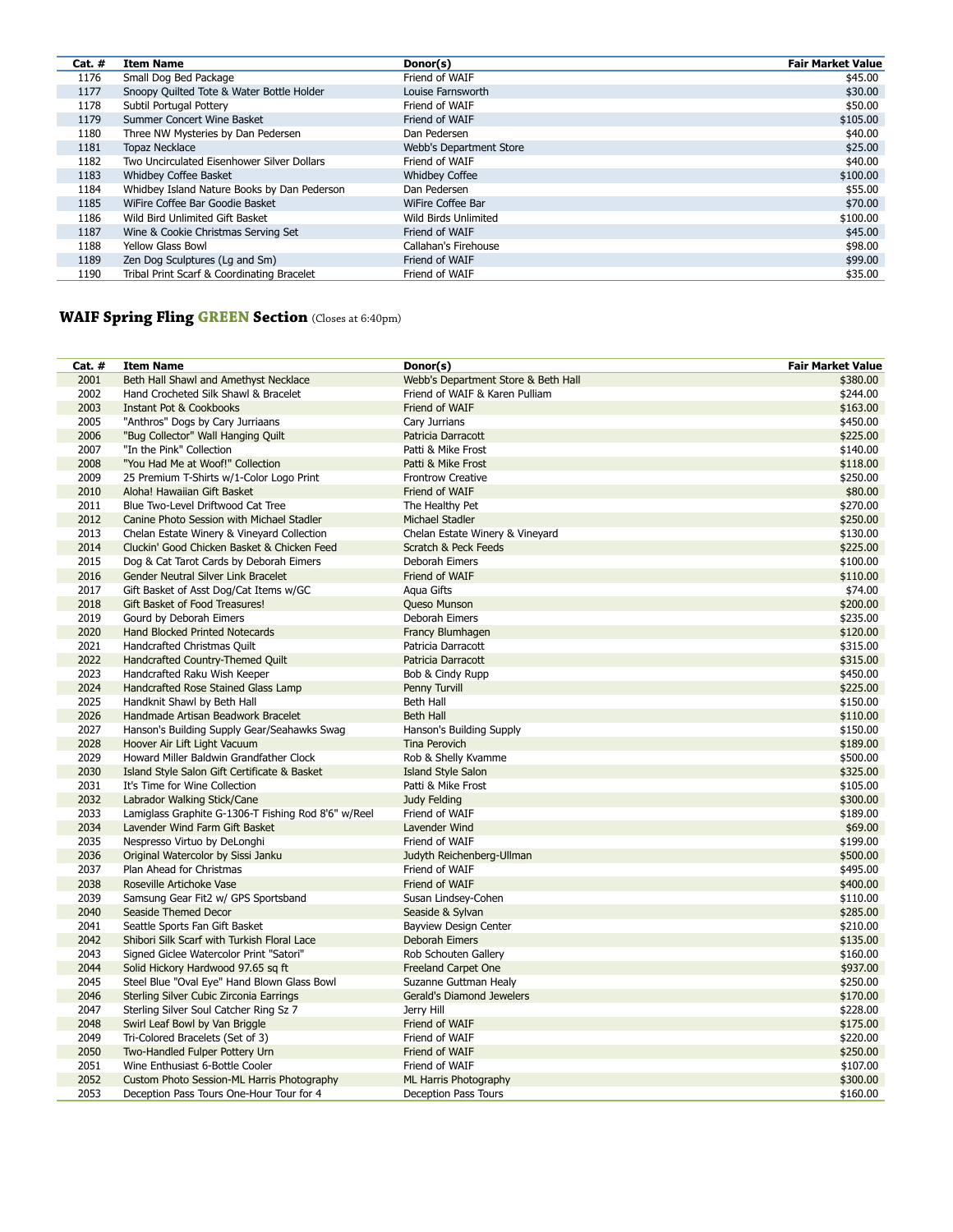| Cat. $#$ | <b>Item Name</b>                            | Donor(s)                | <b>Fair Market Value</b> |
|----------|---------------------------------------------|-------------------------|--------------------------|
| 1176     | Small Dog Bed Package                       | Friend of WAIF          | \$45.00                  |
| 1177     | Snoopy Quilted Tote & Water Bottle Holder   | Louise Farnsworth       | \$30.00                  |
| 1178     | Subtil Portugal Pottery                     | Friend of WAIF          | \$50.00                  |
| 1179     | Summer Concert Wine Basket                  | Friend of WAIF          | \$105.00                 |
| 1180     | Three NW Mysteries by Dan Pedersen          | Dan Pedersen            | \$40.00                  |
| 1181     | <b>Topaz Necklace</b>                       | Webb's Department Store | \$25.00                  |
| 1182     | Two Uncirculated Eisenhower Silver Dollars  | Friend of WAIF          | \$40.00                  |
| 1183     | Whidbey Coffee Basket                       | <b>Whidbey Coffee</b>   | \$100.00                 |
| 1184     | Whidbey Island Nature Books by Dan Pederson | Dan Pedersen            | \$55.00                  |
| 1185     | WiFire Coffee Bar Goodie Basket             | WiFire Coffee Bar       | \$70.00                  |
| 1186     | Wild Bird Unlimited Gift Basket             | Wild Birds Unlimited    | \$100.00                 |
| 1187     | Wine & Cookie Christmas Serving Set         | Friend of WAIF          | \$45.00                  |
| 1188     | <b>Yellow Glass Bowl</b>                    | Callahan's Firehouse    | \$98.00                  |
| 1189     | Zen Dog Sculptures (Lg and Sm)              | Friend of WAIF          | \$99.00                  |
| 1190     | Tribal Print Scarf & Coordinating Bracelet  | Friend of WAIF          | \$35.00                  |

## **WAIF Spring Fling GREEN Section** (Closes at 6:40pm)

| Cat. # | <b>Item Name</b>                                    | Donor(s)                            | <b>Fair Market Value</b> |
|--------|-----------------------------------------------------|-------------------------------------|--------------------------|
| 2001   | Beth Hall Shawl and Amethyst Necklace               | Webb's Department Store & Beth Hall | \$380.00                 |
| 2002   | Hand Crocheted Silk Shawl & Bracelet                | Friend of WAIF & Karen Pulliam      | \$244.00                 |
| 2003   | Instant Pot & Cookbooks                             | Friend of WAIF                      | \$163.00                 |
| 2005   | "Anthros" Dogs by Cary Jurriaans                    | Cary Jurrians                       | \$450.00                 |
| 2006   | "Bug Collector" Wall Hanging Quilt                  | Patricia Darracott                  | \$225.00                 |
| 2007   | "In the Pink" Collection                            | Patti & Mike Frost                  | \$140.00                 |
| 2008   | "You Had Me at Woof!" Collection                    | Patti & Mike Frost                  | \$118.00                 |
| 2009   | 25 Premium T-Shirts w/1-Color Logo Print            | <b>Frontrow Creative</b>            | \$250.00                 |
| 2010   | Aloha! Hawaiian Gift Basket                         | Friend of WAIF                      | \$80.00                  |
| 2011   | Blue Two-Level Driftwood Cat Tree                   | The Healthy Pet                     | \$270.00                 |
| 2012   | Canine Photo Session with Michael Stadler           | Michael Stadler                     | \$250.00                 |
| 2013   | Chelan Estate Winery & Vineyard Collection          | Chelan Estate Winery & Vineyard     | \$130.00                 |
| 2014   | Cluckin' Good Chicken Basket & Chicken Feed         | Scratch & Peck Feeds                | \$225.00                 |
| 2015   | Dog & Cat Tarot Cards by Deborah Eimers             | Deborah Eimers                      | \$100.00                 |
| 2016   | Gender Neutral Silver Link Bracelet                 | Friend of WAIF                      | \$110.00                 |
| 2017   | Gift Basket of Asst Dog/Cat Items w/GC              | Agua Gifts                          | \$74.00                  |
| 2018   | Gift Basket of Food Treasures!                      | Queso Munson                        | \$200.00                 |
| 2019   | Gourd by Deborah Eimers                             | Deborah Eimers                      | \$235.00                 |
| 2020   | Hand Blocked Printed Notecards                      | Francy Blumhagen                    | \$120.00                 |
| 2021   | Handcrafted Christmas Quilt                         | Patricia Darracott                  | \$315.00                 |
| 2022   | Handcrafted Country-Themed Quilt                    | Patricia Darracott                  | \$315.00                 |
| 2023   | Handcrafted Raku Wish Keeper                        | Bob & Cindy Rupp                    | \$450.00                 |
| 2024   | Handcrafted Rose Stained Glass Lamp                 | Penny Turvill                       | \$225.00                 |
| 2025   | Handknit Shawl by Beth Hall                         | Beth Hall                           | \$150.00                 |
| 2026   | Handmade Artisan Beadwork Bracelet                  | <b>Beth Hall</b>                    | \$110.00                 |
| 2027   | Hanson's Building Supply Gear/Seahawks Swag         | Hanson's Building Supply            | \$150.00                 |
| 2028   | Hoover Air Lift Light Vacuum                        | <b>Tina Perovich</b>                | \$189.00                 |
| 2029   | Howard Miller Baldwin Grandfather Clock             | Rob & Shelly Kvamme                 | \$500.00                 |
| 2030   | Island Style Salon Gift Certificate & Basket        | <b>Island Style Salon</b>           | \$325.00                 |
| 2031   | It's Time for Wine Collection                       | Patti & Mike Frost                  | \$105.00                 |
| 2032   | Labrador Walking Stick/Cane                         | <b>Judy Felding</b>                 | \$300.00                 |
| 2033   | Lamiglass Graphite G-1306-T Fishing Rod 8'6" w/Reel | Friend of WAIF                      | \$189.00                 |
| 2034   | Lavender Wind Farm Gift Basket                      | Lavender Wind                       | \$69.00                  |
| 2035   | Nespresso Virtuo by DeLonghi                        | Friend of WAIF                      | \$199.00                 |
| 2036   | Original Watercolor by Sissi Janku                  | Judyth Reichenberg-Ullman           | \$500.00                 |
| 2037   | Plan Ahead for Christmas                            | Friend of WAIF                      | \$495.00                 |
| 2038   | Roseville Artichoke Vase                            | Friend of WAIF                      | \$400.00                 |
| 2039   | Samsung Gear Fit2 w/ GPS Sportsband                 | Susan Lindsey-Cohen                 | \$110.00                 |
| 2040   | Seaside Themed Decor                                | Seaside & Sylvan                    | \$285.00                 |
| 2041   | Seattle Sports Fan Gift Basket                      | Bayview Design Center               | \$210.00                 |
| 2042   | Shibori Silk Scarf with Turkish Floral Lace         | Deborah Eimers                      | \$135.00                 |
| 2043   | Signed Giclee Watercolor Print "Satori"             | Rob Schouten Gallery                | \$160.00                 |
| 2044   | Solid Hickory Hardwood 97.65 sq ft                  | Freeland Carpet One                 | \$937.00                 |
| 2045   | Steel Blue "Oval Eye" Hand Blown Glass Bowl         | Suzanne Guttman Healy               | \$250.00                 |
| 2046   | Sterling Silver Cubic Zirconia Earrings             | Gerald's Diamond Jewelers           | \$170.00                 |
| 2047   | Sterling Silver Soul Catcher Ring Sz 7              | Jerry Hill                          | \$228.00                 |
| 2048   | Swirl Leaf Bowl by Van Briggle                      | Friend of WAIF                      | \$175.00                 |
| 2049   | Tri-Colored Bracelets (Set of 3)                    | Friend of WAIF                      | \$220.00                 |
| 2050   | Two-Handled Fulper Pottery Urn                      | Friend of WAIF                      | \$250.00                 |
| 2051   | Wine Enthusiast 6-Bottle Cooler                     | Friend of WAIF                      | \$107.00                 |
| 2052   | Custom Photo Session-ML Harris Photography          | ML Harris Photography               | \$300.00                 |
| 2053   | Deception Pass Tours One-Hour Tour for 4            | Deception Pass Tours                | \$160.00                 |